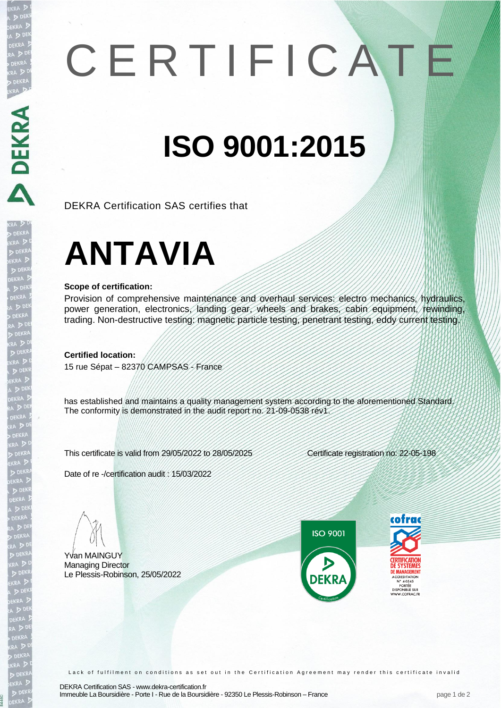# C E R T I F I C A T E

### **ISO 9001:2015**

DEKRA Certification SAS certifies that

## **ANTAVIA**

#### **Scope of certification:**

RA DEKRA DE CRA DE CRA DE CRA DE CRA DE CRA DE CRA DE CRA DE CRA DE CRA DE CRA DE CRA DE CRA DE CRA DE CRA DE CRA DE CRA DE CRA DE CRA DE CRA DE CRA DE CRA DE CRA DE CRA DE CRA DE CRA DE CRA DE CRA DE CRA DE CRA DE CRA DE

ra Di<br>PEKRA<br>Didekra<br>EKRA Didekra<br>Dideki

EKRA<br>DEKRA<br>CEKRA<br>DEKRA<br>DEKRA

EKR/

Provision of comprehensive maintenance and overhaul services: electro mechanics, hydraulics, power generation, electronics, landing gear, wheels and brakes, cabin equipment, rewinding, trading. Non-destructive testing: magnetic particle testing, penetrant testing, eddy current testing.

**Certified location:**

15 rue Sépat – 82370 CAMPSAS - France

has established and maintains a quality management system according to the aforementioned Standard. The conformity is demonstrated in the audit report no. 21-09-0538 rév1.

This certificate is valid from 29/05/2022 to 28/05/2025 Certificate registration no: 22-05-198

Date of re -/certification audit : 15/03/2022

Yvan MAINGUY Managing Director Le Plessis-Robinson, 25/05/2022